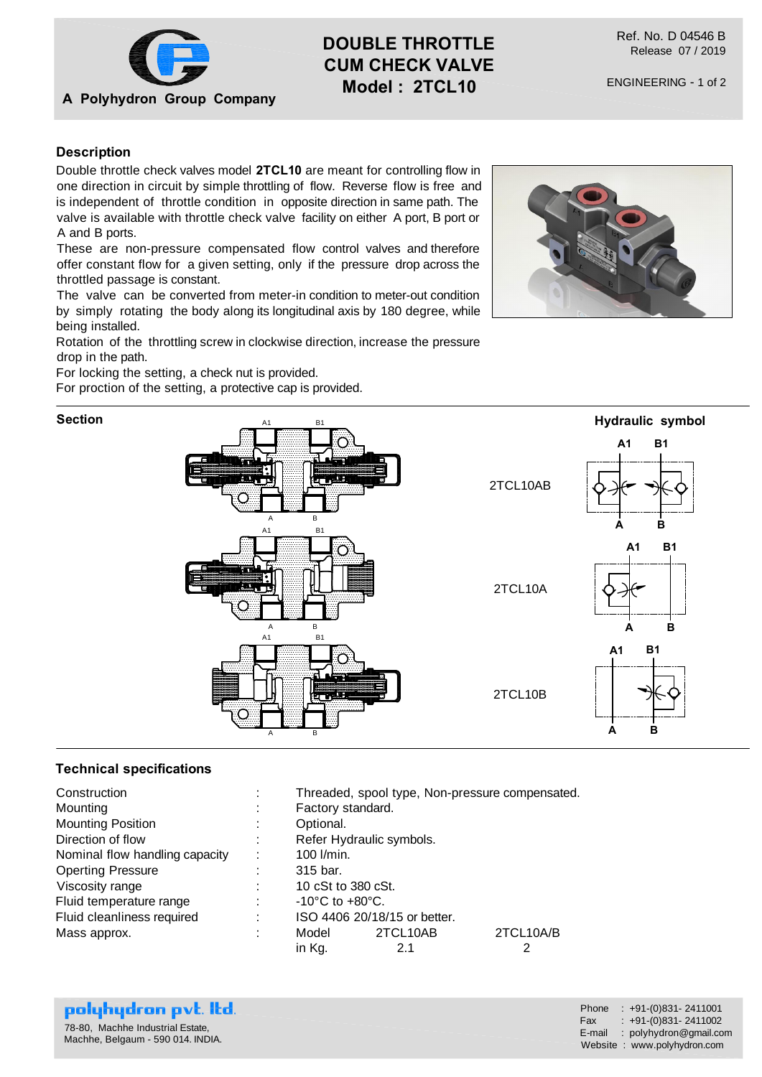

# **DOUBLE THROTTLE CUM CHECK VALVE Model : 2TCL10**

Ref. No. D 04546 B Release 07 / 2019

## **Description**

Double throttle check valves model **2TCL10** are meant for controlling flow in one direction in circuit by simple throttling of flow. Reverse flow is free and is independent of throttle condition in opposite direction in same path. The valve is available with throttle check valve facility on either A port, B port or A and B ports.

These are non-pressure compensated flow control valves and therefore offer constant flow for a given setting, only if the pressure drop across the throttled passage is constant.

The valve can be converted from meter-in condition to meter-out condition by simply rotating the body along its longitudinal axis by 180 degree, while being installed.

Rotation of the throttling screw in clockwise direction, increase the pressure drop in the path.

For locking the setting, a check nut is provided.

For proction of the setting, a protective cap is provided.

### **Section**





### **Technical specifications**

| Construction                   | ٠ |                                     |          | Threaded, spool type, Non-pressure compensated. |
|--------------------------------|---|-------------------------------------|----------|-------------------------------------------------|
| Mounting                       | ÷ | Factory standard.                   |          |                                                 |
| <b>Mounting Position</b>       | ÷ | Optional.                           |          |                                                 |
| Direction of flow              |   | Refer Hydraulic symbols.            |          |                                                 |
| Nominal flow handling capacity | ÷ | 100 l/min.                          |          |                                                 |
| <b>Operting Pressure</b>       |   | 315 bar.                            |          |                                                 |
| Viscosity range                |   | 10 cSt to 380 cSt.                  |          |                                                 |
| Fluid temperature range        |   | $-10^{\circ}$ C to $+80^{\circ}$ C. |          |                                                 |
| Fluid cleanliness required     | ÷ | ISO 4406 20/18/15 or better.        |          |                                                 |
| Mass approx.                   |   | Model                               | 2TCL10AB | 2TCL10A/B                                       |
|                                |   | in Kg.                              | 2.1      |                                                 |

| polyhydron pvt. Itd.                                                  | Phone : $+91-(0)831-2411001$                                                                    |
|-----------------------------------------------------------------------|-------------------------------------------------------------------------------------------------|
| 78-80. Machhe Industrial Estate.<br>Machhe, Belgaum - 590 014. INDIA. | $Fax : +91-(0)831 - 2411002$<br>$E$ -mail : polyhydron@gmail.com<br>Website: www.polyhydron.com |